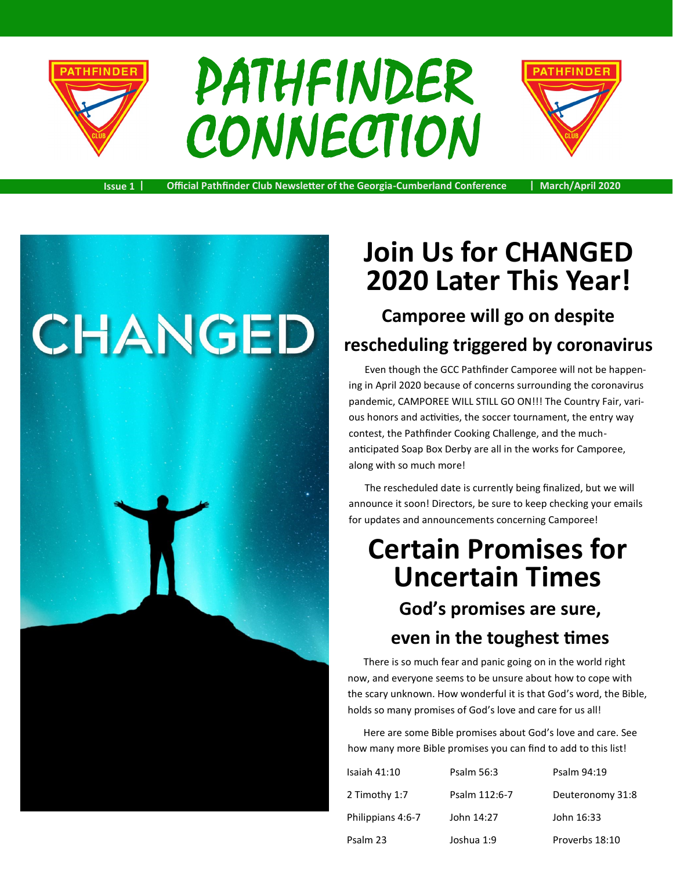

# PATHFINDER **CONNECTION**



**Issue 1 | Official Pathfinder Club Newsletter of the Georgia-Cumberland Conference | March/April 2020**



# **Join Us for CHANGED 2020 Later This Year!**

**Camporee will go on despite rescheduling triggered by coronavirus**

Even though the GCC Pathfinder Camporee will not be happening in April 2020 because of concerns surrounding the coronavirus pandemic, CAMPOREE WILL STILL GO ON!!! The Country Fair, various honors and activities, the soccer tournament, the entry way contest, the Pathfinder Cooking Challenge, and the muchanticipated Soap Box Derby are all in the works for Camporee, along with so much more!

The rescheduled date is currently being finalized, but we will announce it soon! Directors, be sure to keep checking your emails for updates and announcements concerning Camporee!

# **Certain Promises for Uncertain Times God's promises are sure,**

#### **even in the toughest times**

There is so much fear and panic going on in the world right now, and everyone seems to be unsure about how to cope with the scary unknown. How wonderful it is that God's word, the Bible, holds so many promises of God's love and care for us all!

Here are some Bible promises about God's love and care. See how many more Bible promises you can find to add to this list!

| Isaiah $41:10$    | Psalm 56:3    | Psalm 94:19      |
|-------------------|---------------|------------------|
| 2 Timothy 1:7     | Psalm 112:6-7 | Deuteronomy 31:8 |
| Philippians 4:6-7 | John 14:27    | John 16:33       |
| Psalm 23          | Joshua 1:9    | Proverbs 18:10   |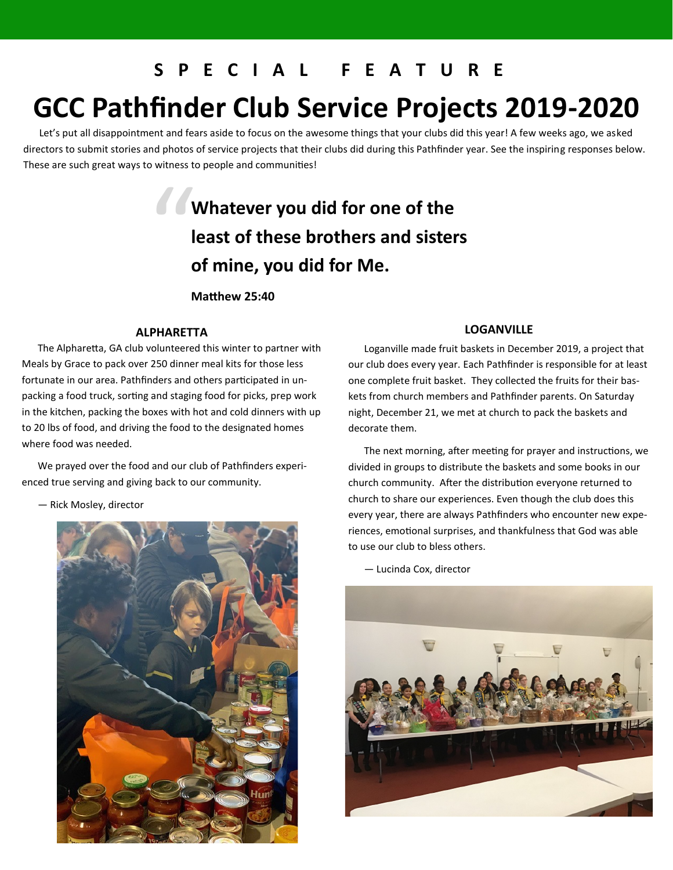#### **S P E C I A L F E A T U R E**

# **GCC Pathfinder Club Service Projects 2019-2020**

Let's put all disappointment and fears aside to focus on the awesome things that your clubs did this year! A few weeks ago, we asked directors to submit stories and photos of service projects that their clubs did during this Pathfinder year. See the inspiring responses below. These are such great ways to witness to people and communities!

## " **Whatever you did for one of the least of these brothers and sisters of mine, you did for Me.**

**Matthew 25:40**

#### **ALPHARETTA**

The Alpharetta, GA club volunteered this winter to partner with Meals by Grace to pack over 250 dinner meal kits for those less fortunate in our area. Pathfinders and others participated in unpacking a food truck, sorting and staging food for picks, prep work in the kitchen, packing the boxes with hot and cold dinners with up to 20 lbs of food, and driving the food to the designated homes where food was needed.

We prayed over the food and our club of Pathfinders experienced true serving and giving back to our community.

— Rick Mosley, director



#### **LOGANVILLE**

Loganville made fruit baskets in December 2019, a project that our club does every year. Each Pathfinder is responsible for at least one complete fruit basket. They collected the fruits for their baskets from church members and Pathfinder parents. On Saturday night, December 21, we met at church to pack the baskets and decorate them.

The next morning, after meeting for prayer and instructions, we divided in groups to distribute the baskets and some books in our church community. After the distribution everyone returned to church to share our experiences. Even though the club does this every year, there are always Pathfinders who encounter new experiences, emotional surprises, and thankfulness that God was able to use our club to bless others.

— Lucinda Cox, director

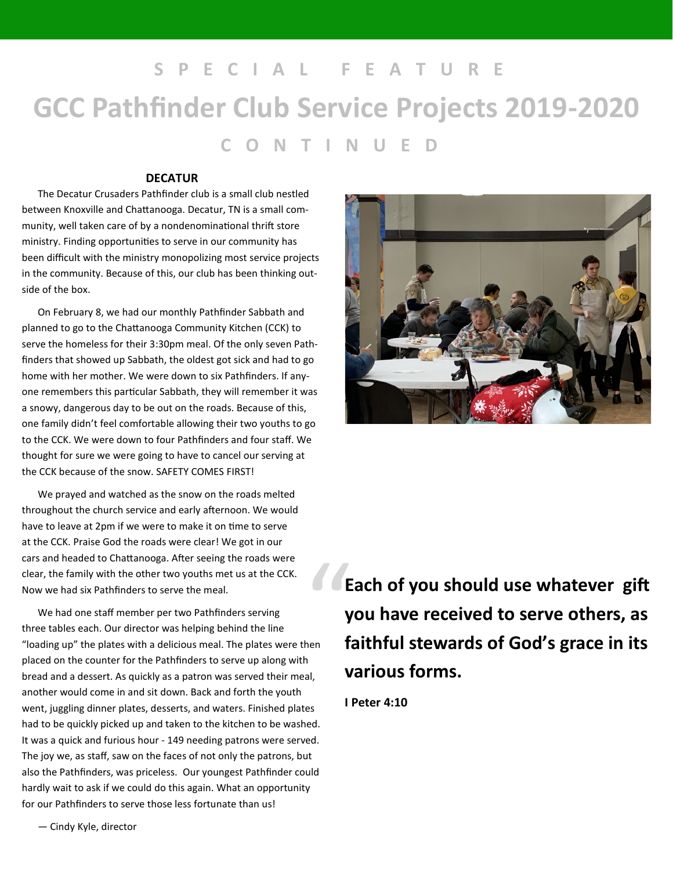**S P E C I A L F E A T U R E GCC Pathfinder Club Service Projects 2019-2020 C O N T I N U E D**

#### **DECATUR**

The Decatur Crusaders Pathfinder club is a small club nestled between Knoxville and Chattanooga. Decatur, TN is a small community, well taken care of by a nondenominational thrift store ministry. Finding opportunities to serve in our community has been difficult with the ministry monopolizing most service projects in the community. Because of this, our club has been thinking outside of the box.

On February 8, we had our monthly Pathfinder Sabbath and planned to go to the Chattanooga Community Kitchen (CCK) to serve the homeless for their 3:30pm meal. Of the only seven Pathfinders that showed up Sabbath, the oldest got sick and had to go home with her mother. We were down to six Pathfinders. If anyone remembers this particular Sabbath, they will remember it was a snowy, dangerous day to be out on the roads. Because of this, one family didn't feel comfortable allowing their two youths to go to the CCK. We were down to four Pathfinders and four staff. We thought for sure we were going to have to cancel our serving at the CCK because of the snow. SAFETY COMES FIRST!

We prayed and watched as the snow on the roads melted throughout the church service and early afternoon. We would have to leave at 2pm if we were to make it on time to serve at the CCK. Praise God the roads were clear! We got in our cars and headed to Chattanooga. After seeing the roads were clear, the family with the other two youths met us at the CCK. Now we had six Pathfinders to serve the meal.

We had one staff member per two Pathfinders serving three tables each. Our director was helping behind the line "loading up" the plates with a delicious meal. The plates were then placed on the counter for the Pathfinders to serve up along with bread and a dessert. As quickly as a patron was served their meal, another would come in and sit down. Back and forth the youth went, juggling dinner plates, desserts, and waters. Finished plates had to be quickly picked up and taken to the kitchen to be washed. It was a quick and furious hour - 149 needing patrons were served. The joy we, as staff, saw on the faces of not only the patrons, but also the Pathfinders, was priceless. Our youngest Pathfinder could hardly wait to ask if we could do this again. What an opportunity for our Pathfinders to serve those less fortunate than us! The Press of Second Second Second Second Second Second Second Second Second Second Second Second Second Second Second Second Second Second Second Second Second Second Second Second Second Second Second Second Second Second



**Each of you should use whatever gift you have received to serve others, as faithful stewards of God's grace in its various forms.**

**I Peter 4:10**

— Cindy Kyle, director